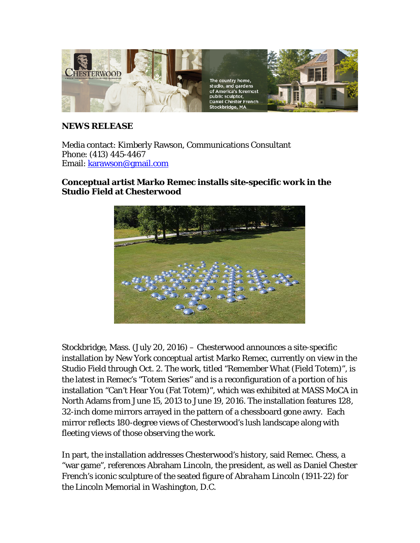

## **NEWS RELEASE**

Media contact: Kimberly Rawson, Communications Consultant Phone: (413) 445-4467 Email: [karawson@gmail.com](mailto:karawson@gmail.com)

## **Conceptual artist Marko Remec installs site-specific work in the Studio Field at Chesterwood**



Stockbridge, Mass. (July 20, 2016) – Chesterwood announces a site-specific installation by New York conceptual artist Marko Remec, currently on view in the Studio Field through Oct. 2. The work, titled "Remember What (Field Totem)", is the latest in Remec's "Totem Series" and is a reconfiguration of a portion of his installation "Can't Hear You (Fat Totem)", which was exhibited at MASS MoCA in North Adams from June 15, 2013 to June 19, 2016. The installation features 128, 32-inch dome mirrors arrayed in the pattern of a chessboard gone awry. Each mirror reflects 180-degree views of Chesterwood's lush landscape along with fleeting views of those observing the work.

In part, the installation addresses Chesterwood's history, said Remec. Chess, a "war game", references Abraham Lincoln, the president, as well as Daniel Chester French's iconic sculpture of the seated figure of *Abraham Lincoln* (1911-22) for the Lincoln Memorial in Washington, D.C.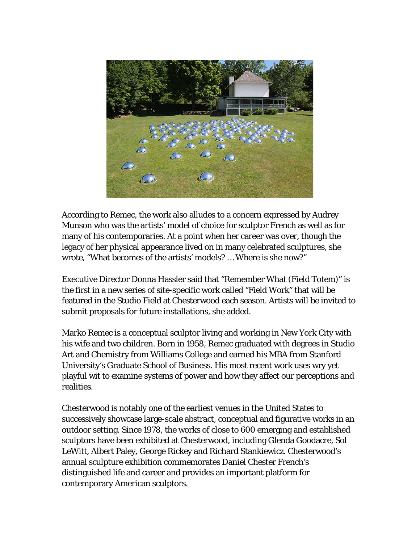

According to Remec, the work also alludes to a concern expressed by Audrey Munson who was the artists' model of choice for sculptor French as well as for many of his contemporaries. At a point when her career was over, though the legacy of her physical appearance lived on in many celebrated sculptures, she wrote, "What becomes of the artists' models? … Where is she now?"

Executive Director Donna Hassler said that "Remember What (Field Totem)" is the first in a new series of site-specific work called "Field Work" that will be featured in the Studio Field at Chesterwood each season. Artists will be invited to submit proposals for future installations, she added.

Marko Remec is a conceptual sculptor living and working in New York City with his wife and two children. Born in 1958, Remec graduated with degrees in Studio Art and Chemistry from Williams College and earned his MBA from Stanford University's Graduate School of Business. His most recent work uses wry yet playful wit to examine systems of power and how they affect our perceptions and realities.

Chesterwood is notably one of the earliest venues in the United States to successively showcase large-scale abstract, conceptual and figurative works in an outdoor setting. Since 1978, the works of close to 600 emerging and established sculptors have been exhibited at Chesterwood, including Glenda Goodacre, Sol LeWitt, Albert Paley, George Rickey and Richard Stankiewicz. Chesterwood's annual sculpture exhibition commemorates Daniel Chester French's distinguished life and career and provides an important platform for contemporary American sculptors.